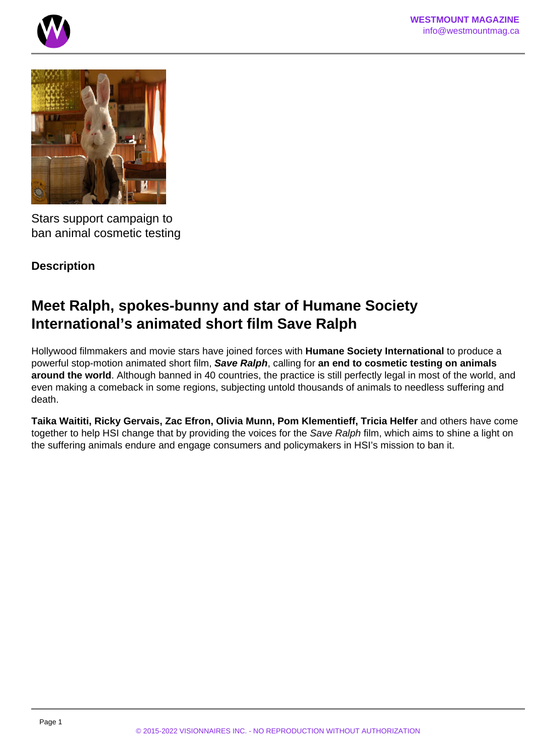



Stars support campaign to ban animal cosmetic testing

## **Description**

## **Meet Ralph, spokes-bunny and star of Humane Society International's animated short film Save Ralph**

Hollywood filmmakers and movie stars have joined forces with **Humane Society International** to produce a powerful stop-motion animated short film, **Save Ralph**, calling for **an end to cosmetic testing on animals around the world**. Although banned in 40 countries, the practice is still perfectly legal in most of the world, and even making a comeback in some regions, subjecting untold thousands of animals to needless suffering and death.

**Taika Waititi, Ricky Gervais, Zac Efron, Olivia Munn, Pom Klementieff, Tricia Helfer** and others have come together to help HSI change that by providing the voices for the Save Ralph film, which aims to shine a light on the suffering animals endure and engage consumers and policymakers in HSI's mission to ban it.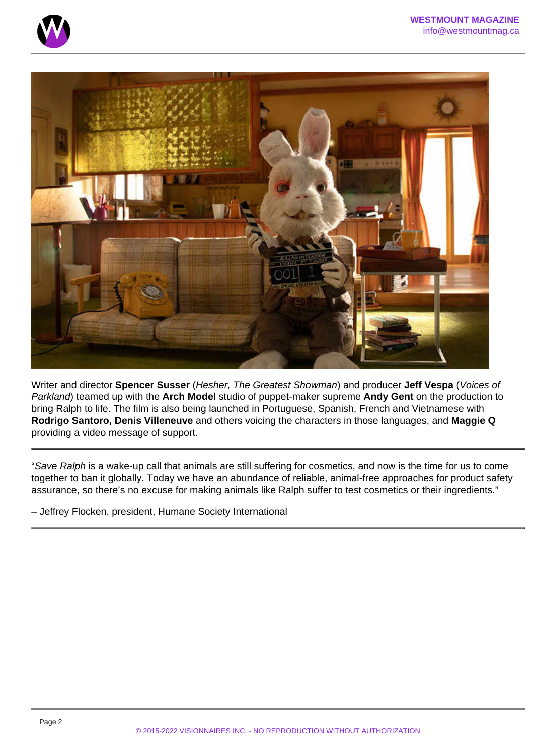



Writer and director **Spencer Susser** (Hesher, The Greatest Showman) and producer **Jeff Vespa** (Voices of Parkland) teamed up with the **Arch Model** studio of puppet-maker supreme **Andy Gent** on the production to bring Ralph to life. The film is also being launched in Portuguese, Spanish, French and Vietnamese with **Rodrigo Santoro, Denis Villeneuve** and others voicing the characters in those languages, and **Maggie Q** providing a video message of support.

"Save Ralph is a wake-up call that animals are still suffering for cosmetics, and now is the time for us to come together to ban it globally. Today we have an abundance of reliable, animal-free approaches for product safety assurance, so there's no excuse for making animals like Ralph suffer to test cosmetics or their ingredients."

– Jeffrey Flocken, president, Humane Society International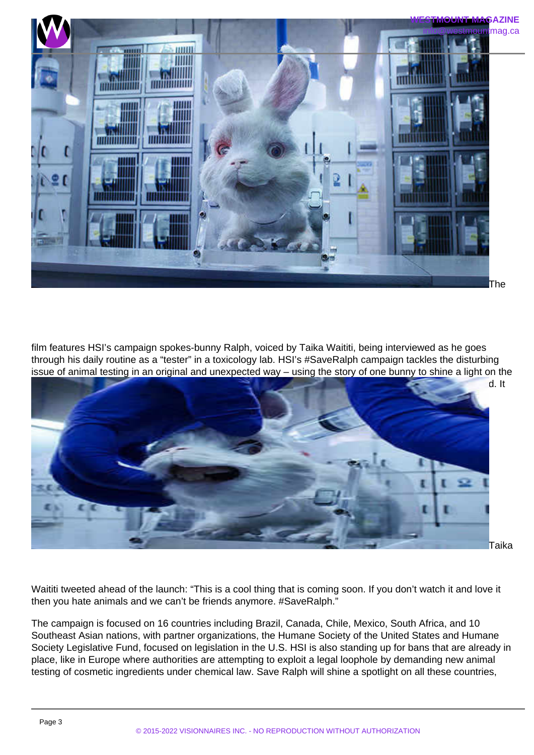

film features HSI's campaign spokes-bunny Ralph, voiced by Taika Waititi, being interviewed as he goes through his daily routine as a "tester" in a toxicology lab. HSI's #SaveRalph campaign tackles the disturbing issue of animal testing in an original and unexpected way – using the story of one bunny to shine a light on the



Waititi tweeted ahead of the launch: "This is a cool thing that is coming soon. If you don't watch it and love it then you hate animals and we can't be friends anymore. #SaveRalph."

The campaign is focused on 16 countries including Brazil, Canada, Chile, Mexico, South Africa, and 10 Southeast Asian nations, with partner organizations, the Humane Society of the United States and Humane Society Legislative Fund, focused on legislation in the U.S. HSI is also standing up for bans that are already in place, like in Europe where authorities are attempting to exploit a legal loophole by demanding new animal testing of cosmetic ingredients under chemical law. Save Ralph will shine a spotlight on all these countries,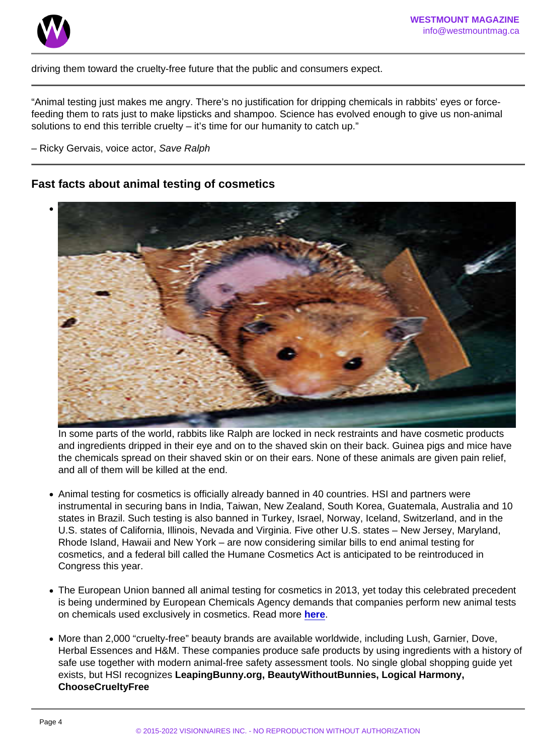driving them toward the cruelty-free future that the public and consumers expect.

"Animal testing just makes me angry. There's no justification for dripping chemicals in rabbits' eyes or forcefeeding them to rats just to make lipsticks and shampoo. Science has evolved enough to give us non-animal solutions to end this terrible cruelty – it's time for our humanity to catch up."

– Ricky Gervais, voice actor, Save Ralph

Fast facts about animal testing of cosmetics

In some parts of the world, rabbits like Ralph are locked in neck restraints and have cosmetic products and ingredients dripped in their eye and on to the shaved skin on their back. Guinea pigs and mice have the chemicals spread on their shaved skin or on their ears. None of these animals are given pain relief, and all of them will be killed at the end.

- Animal testing for cosmetics is officially already banned in 40 countries. HSI and partners were instrumental in securing bans in India, Taiwan, New Zealand, South Korea, Guatemala, Australia and 10 states in Brazil. Such testing is also banned in Turkey, Israel, Norway, Iceland, Switzerland, and in the U.S. states of California, Illinois, Nevada and Virginia. Five other U.S. states – New Jersey, Maryland, Rhode Island, Hawaii and New York – are now considering similar bills to end animal testing for cosmetics, and a federal bill called the Humane Cosmetics Act is anticipated to be reintroduced in Congress this year.
- The European Union banned all animal testing for cosmetics in 2013, yet today this celebrated precedent is being undermined by European Chemicals Agency demands that companies perform new animal tests on chemicals used exclusively in cosmetics. Read more [here.](https://www.hsi.org/wp-content/uploads/2020/11/EU-cosmetics-animal-testing-ban-shredded.pdf)
- More than 2,000 "cruelty-free" beauty brands are available worldwide, including Lush, Garnier, Dove, Herbal Essences and H&M. These companies produce safe products by using ingredients with a history of safe use together with modern animal-free safety assessment tools. No single global shopping guide yet exists, but HSI recognizes LeapingBunny.org, BeautyWithoutBunnies, Logical Harmony, ChooseCrueltyFree